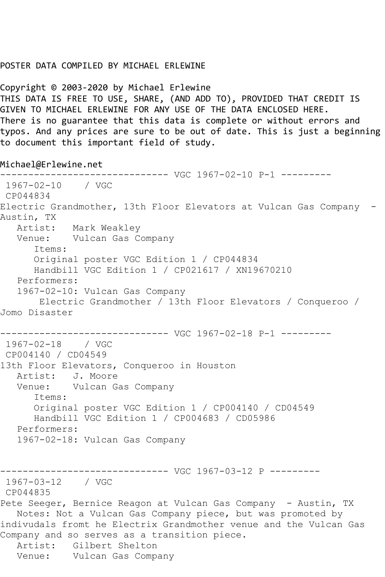## POSTER DATA COMPILED BY MICHAEL ERLEWINE

Copyright © 2003-2020 by Michael Erlewine THIS DATA IS FREE TO USE, SHARE, (AND ADD TO), PROVIDED THAT CREDIT IS GIVEN TO MICHAEL ERLEWINE FOR ANY USE OF THE DATA ENCLOSED HERE. There is no guarantee that this data is complete or without errors and typos. And any prices are sure to be out of date. This is just a beginning to document this important field of study.

Michael@Erlewine.net

------------------------------ VGC 1967-02-10 P-1 --------- 1967-02-10 / VGC CP044834 Electric Grandmother, 13th Floor Elevators at Vulcan Gas Company - Austin, TX Artist: Mark Weakley Venue: Vulcan Gas Company Items: Original poster VGC Edition 1 / CP044834 Handbill VGC Edition 1 / CP021617 / XN19670210 Performers: 1967-02-10: Vulcan Gas Company Electric Grandmother / 13th Floor Elevators / Conqueroo / Jomo Disaster ------------------------------ VGC 1967-02-18 P-1 --------- 1967-02-18 / VGC CP004140 / CD04549 13th Floor Elevators, Conqueroo in Houston Artist: J. Moore Venue: Vulcan Gas Company Items: Original poster VGC Edition 1 / CP004140 / CD04549 Handbill VGC Edition 1 / CP004683 / CD05986 Performers: 1967-02-18: Vulcan Gas Company ------------------------------ VGC 1967-03-12 P --------- 1967-03-12 / VGC CP044835 Pete Seeger, Bernice Reagon at Vulcan Gas Company - Austin, TX Notes: Not a Vulcan Gas Company piece, but was promoted by indivudals fromt he Electrix Grandmother venue and the Vulcan Gas Company and so serves as a transition piece. Artist: Gilbert Shelton Venue: Vulcan Gas Company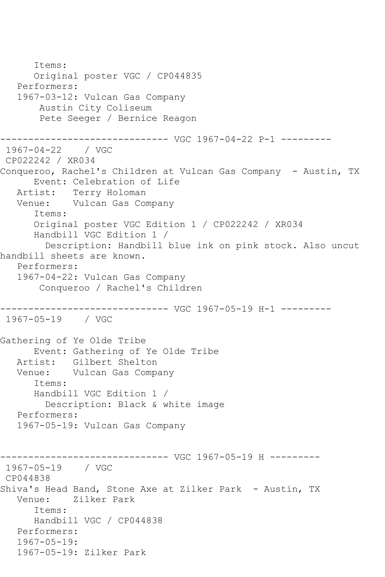Items: Original poster VGC / CP044835 Performers: 1967-03-12: Vulcan Gas Company Austin City Coliseum Pete Seeger / Bernice Reagon ------------------------------ VGC 1967-04-22 P-1 --------- 1967-04-22 / VGC CP022242 / XR034 Conqueroo, Rachel's Children at Vulcan Gas Company - Austin, TX Event: Celebration of Life Artist: Terry Holoman Venue: Vulcan Gas Company Items: Original poster VGC Edition 1 / CP022242 / XR034 Handbill VGC Edition 1 / Description: Handbill blue ink on pink stock. Also uncut handbill sheets are known. Performers: 1967-04-22: Vulcan Gas Company Conqueroo / Rachel's Children ------------------------------ VGC 1967-05-19 H-1 --------- 1967-05-19 / VGC Gathering of Ye Olde Tribe Event: Gathering of Ye Olde Tribe Artist: Gilbert Shelton Venue: Vulcan Gas Company Items: Handbill VGC Edition 1 / Description: Black & white image Performers: 1967-05-19: Vulcan Gas Company ------------------------------ VGC 1967-05-19 H --------- 1967-05-19 / VGC CP044838 Shiva's Head Band, Stone Axe at Zilker Park - Austin, TX Venue: Zilker Park Items: Handbill VGC / CP044838 Performers: 1967-05-19: 1967-05-19: Zilker Park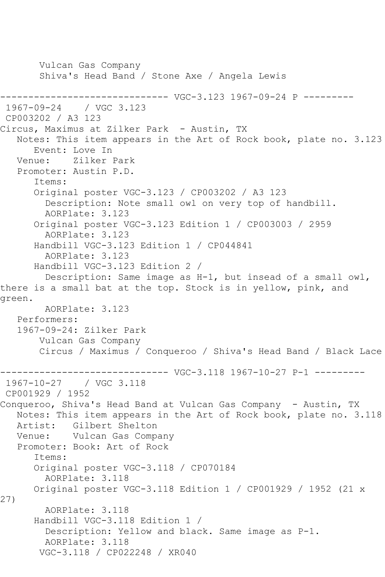Vulcan Gas Company Shiva's Head Band / Stone Axe / Angela Lewis ------------------------------ VGC-3.123 1967-09-24 P --------- / VGC 3.123 CP003202 / A3 123 Circus, Maximus at Zilker Park - Austin, TX Notes: This item appears in the Art of Rock book, plate no. 3.123 Event: Love In Venue: Zilker Park Promoter: Austin P.D. Items: Original poster VGC-3.123 / CP003202 / A3 123 Description: Note small owl on very top of handbill. AORPlate: 3.123 Original poster VGC-3.123 Edition 1 / CP003003 / 2959 AORPlate: 3.123 Handbill VGC-3.123 Edition 1 / CP044841 AORPlate: 3.123 Handbill VGC-3.123 Edition 2 / Description: Same image as H-1, but insead of a small owl, there is a small bat at the top. Stock is in yellow, pink, and green. AORPlate: 3.123 Performers: 1967-09-24: Zilker Park Vulcan Gas Company Circus / Maximus / Conqueroo / Shiva's Head Band / Black Lace ------------------------------ VGC-3.118 1967-10-27 P-1 --------- 1967-10-27 CP001929 / 1952 Conqueroo, Shiva's Head Band at Vulcan Gas Company - Austin, TX Notes: This item appears in the Art of Rock book, plate no. 3.118 Artist: Gilbert Shelton Venue: Vulcan Gas Company Promoter: Book: Art of Rock Items: Original poster VGC-3.118 / CP070184 AORPlate: 3.118 Original poster VGC-3.118 Edition 1 / CP001929 / 1952 (21 x 27) AORPlate: 3.118 Handbill VGC-3.118 Edition 1 / Description: Yellow and black. Same image as P-1. AORPlate: 3.118 VGC-3.118 / CP022248 / XR040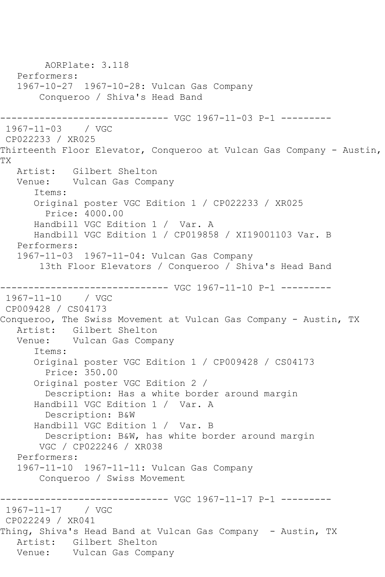AORPlate: 3.118 Performers: 1967-10-27 1967-10-28: Vulcan Gas Company Conqueroo / Shiva's Head Band ------------------------------ VGC 1967-11-03 P-1 --------- 1967-11-03 / VGC CP022233 / XR025 Thirteenth Floor Elevator, Conqueroo at Vulcan Gas Company - Austin, TX Artist: Gilbert Shelton<br>Venue: Vulcan Gas Compa Vulcan Gas Company Items: Original poster VGC Edition 1 / CP022233 / XR025 Price: 4000.00 Handbill VGC Edition 1 / Var. A Handbill VGC Edition 1 / CP019858 / XI19001103 Var. B Performers: 1967-11-03 1967-11-04: Vulcan Gas Company 13th Floor Elevators / Conqueroo / Shiva's Head Band ------------------------------ VGC 1967-11-10 P-1 --------- 1967-11-10 / VGC CP009428 / CS04173 Conqueroo, The Swiss Movement at Vulcan Gas Company - Austin, TX Artist: Gilbert Shelton Venue: Vulcan Gas Company Items: Original poster VGC Edition 1 / CP009428 / CS04173 Price: 350.00 Original poster VGC Edition 2 / Description: Has a white border around margin Handbill VGC Edition 1 / Var. A Description: B&W Handbill VGC Edition 1 / Var. B Description: B&W, has white border around margin VGC / CP022246 / XR038 Performers: 1967-11-10 1967-11-11: Vulcan Gas Company Conqueroo / Swiss Movement ------------------------------ VGC 1967-11-17 P-1 --------- 1967-11-17 / VGC CP022249 / XR041 Thing, Shiva's Head Band at Vulcan Gas Company - Austin, TX Artist: Gilbert Shelton Venue: Vulcan Gas Company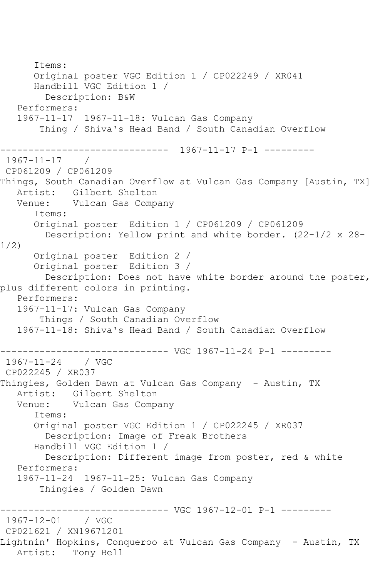Items: Original poster VGC Edition 1 / CP022249 / XR041 Handbill VGC Edition 1 / Description: B&W Performers: 1967-11-17 1967-11-18: Vulcan Gas Company Thing / Shiva's Head Band / South Canadian Overflow ------------------------------ 1967-11-17 P-1 --------- 1967-11-17 / CP061209 / CP061209 Things, South Canadian Overflow at Vulcan Gas Company [Austin, TX] Artist: Gilbert Shelton Venue: Vulcan Gas Company Items: Original poster Edition 1 / CP061209 / CP061209 Description: Yellow print and white border. (22-1/2 x 28- 1/2) Original poster Edition 2 / Original poster Edition 3 / Description: Does not have white border around the poster, plus different colors in printing. Performers: 1967-11-17: Vulcan Gas Company Things / South Canadian Overflow 1967-11-18: Shiva's Head Band / South Canadian Overflow ------------------------------ VGC 1967-11-24 P-1 --------- 1967-11-24 / VGC CP022245 / XR037 Thingies, Golden Dawn at Vulcan Gas Company - Austin, TX Artist: Gilbert Shelton<br>Venue: Vulcan Gas Compa Vulcan Gas Company Items: Original poster VGC Edition 1 / CP022245 / XR037 Description: Image of Freak Brothers Handbill VGC Edition 1 / Description: Different image from poster, red & white Performers: 1967-11-24 1967-11-25: Vulcan Gas Company Thingies / Golden Dawn ------------------------------ VGC 1967-12-01 P-1 --------- 1967-12-01 CP021621 / XN19671201 Lightnin' Hopkins, Conqueroo at Vulcan Gas Company - Austin, TX Artist: Tony Bell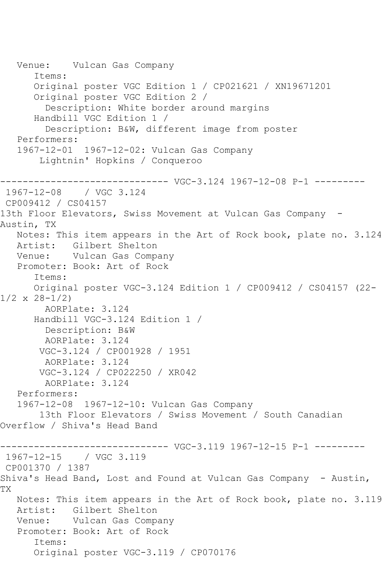Venue: Vulcan Gas Company Items: Original poster VGC Edition 1 / CP021621 / XN19671201 Original poster VGC Edition 2 / Description: White border around margins Handbill VGC Edition 1 / Description: B&W, different image from poster Performers: 1967-12-01 1967-12-02: Vulcan Gas Company Lightnin' Hopkins / Conqueroo ------------------------------ VGC-3.124 1967-12-08 P-1 --------- 1967-12-08 / VGC 3.124 CP009412 / CS04157 13th Floor Elevators, Swiss Movement at Vulcan Gas Company -Austin, TX Notes: This item appears in the Art of Rock book, plate no. 3.124 Artist: Gilbert Shelton Venue: Vulcan Gas Company Promoter: Book: Art of Rock Items: Original poster VGC-3.124 Edition 1 / CP009412 / CS04157 (22-  $1/2 \times 28 - 1/2$  AORPlate: 3.124 Handbill VGC-3.124 Edition 1 / Description: B&W AORPlate: 3.124 VGC-3.124 / CP001928 / 1951 AORPlate: 3.124 VGC-3.124 / CP022250 / XR042 AORPlate: 3.124 Performers: 1967-12-08 1967-12-10: Vulcan Gas Company 13th Floor Elevators / Swiss Movement / South Canadian Overflow / Shiva's Head Band ------------------------------ VGC-3.119 1967-12-15 P-1 --------- 1967-12-15 / VGC 3.119 CP001370 / 1387 Shiva's Head Band, Lost and Found at Vulcan Gas Company - Austin, TX Notes: This item appears in the Art of Rock book, plate no. 3.119<br>Artist: Gilbert Shelton Gilbert Shelton Venue: Vulcan Gas Company Promoter: Book: Art of Rock Items: Original poster VGC-3.119 / CP070176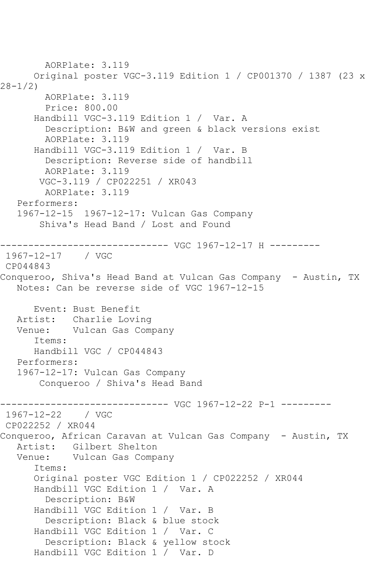AORPlate: 3.119 Original poster VGC-3.119 Edition 1 / CP001370 / 1387 (23 x 28-1/2) AORPlate: 3.119 Price: 800.00 Handbill VGC-3.119 Edition 1 / Var. A Description: B&W and green & black versions exist AORPlate: 3.119 Handbill VGC-3.119 Edition 1 / Var. B Description: Reverse side of handbill AORPlate: 3.119 VGC-3.119 / CP022251 / XR043 AORPlate: 3.119 Performers: 1967-12-15 1967-12-17: Vulcan Gas Company Shiva's Head Band / Lost and Found ------------------------------ VGC 1967-12-17 H --------- 1967-12-17 / VGC CP044843 Conqueroo, Shiva's Head Band at Vulcan Gas Company - Austin, TX Notes: Can be reverse side of VGC 1967-12-15 Event: Bust Benefit Artist: Charlie Loving Venue: Vulcan Gas Company Items: Handbill VGC / CP044843 Performers: 1967-12-17: Vulcan Gas Company Conqueroo / Shiva's Head Band ------------------------------ VGC 1967-12-22 P-1 ---------  $1967 - 12 - 22$ CP022252 / XR044 Conqueroo, African Caravan at Vulcan Gas Company - Austin, TX Artist: Gilbert Shelton Venue: Vulcan Gas Company Items: Original poster VGC Edition 1 / CP022252 / XR044 Handbill VGC Edition 1 / Var. A Description: B&W Handbill VGC Edition 1 / Var. B Description: Black & blue stock Handbill VGC Edition 1 / Var. C Description: Black & yellow stock Handbill VGC Edition 1 / Var. D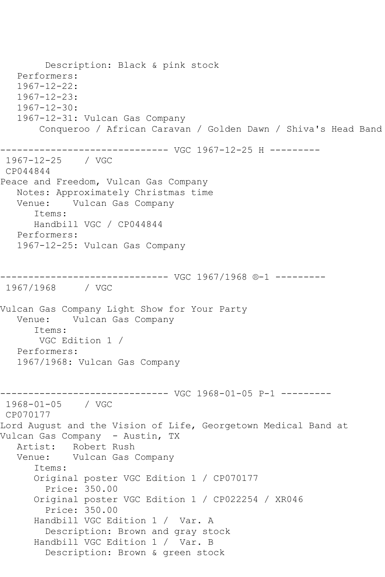Description: Black & pink stock Performers: 1967-12-22: 1967-12-23: 1967-12-30: 1967-12-31: Vulcan Gas Company Conqueroo / African Caravan / Golden Dawn / Shiva's Head Band ------------------------------ VGC 1967-12-25 H --------- 1967-12-25 / VGC CP044844 Peace and Freedom, Vulcan Gas Company Notes: Approximately Christmas time Vulcan Gas Company Items: Handbill VGC / CP044844 Performers: 1967-12-25: Vulcan Gas Company ------------------------------ VGC 1967/1968 ®-1 --------- 1967/1968 / VGC Vulcan Gas Company Light Show for Your Party Venue: Vulcan Gas Company Items: VGC Edition 1 / Performers: 1967/1968: Vulcan Gas Company ------------------------------ VGC 1968-01-05 P-1 --------- 1968-01-05 / VGC CP070177 Lord August and the Vision of Life, Georgetown Medical Band at Vulcan Gas Company - Austin, TX Artist: Robert Rush Venue: Vulcan Gas Company Items: Original poster VGC Edition 1 / CP070177 Price: 350.00 Original poster VGC Edition 1 / CP022254 / XR046 Price: 350.00 Handbill VGC Edition 1 / Var. A Description: Brown and gray stock Handbill VGC Edition 1 / Var. B Description: Brown & green stock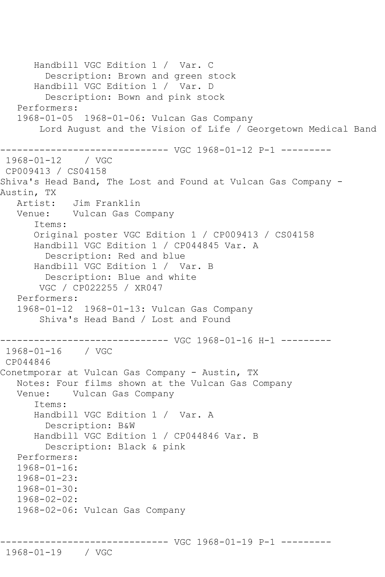Handbill VGC Edition 1 / Var. C Description: Brown and green stock Handbill VGC Edition 1 / Var. D Description: Bown and pink stock Performers: 1968-01-05 1968-01-06: Vulcan Gas Company Lord August and the Vision of Life / Georgetown Medical Band ------------------------------ VGC 1968-01-12 P-1 --------- 1968-01-12 / VGC CP009413 / CS04158 Shiva's Head Band, The Lost and Found at Vulcan Gas Company - Austin, TX Artist: Jim Franklin Venue: Vulcan Gas Company Items: Original poster VGC Edition 1 / CP009413 / CS04158 Handbill VGC Edition 1 / CP044845 Var. A Description: Red and blue Handbill VGC Edition 1 / Var. B Description: Blue and white VGC / CP022255 / XR047 Performers: 1968-01-12 1968-01-13: Vulcan Gas Company Shiva's Head Band / Lost and Found ------------------------------ VGC 1968-01-16 H-1 --------- 1968-01-16 / VGC CP044846 Conetmporar at Vulcan Gas Company - Austin, TX Notes: Four films shown at the Vulcan Gas Company Venue: Vulcan Gas Company Items: Handbill VGC Edition 1 / Var. A Description: B&W Handbill VGC Edition 1 / CP044846 Var. B Description: Black & pink Performers: 1968-01-16: 1968-01-23:  $1968 - 01 - 30$  1968-02-02: 1968-02-06: Vulcan Gas Company

------------------------------ VGC 1968-01-19 P-1 ---------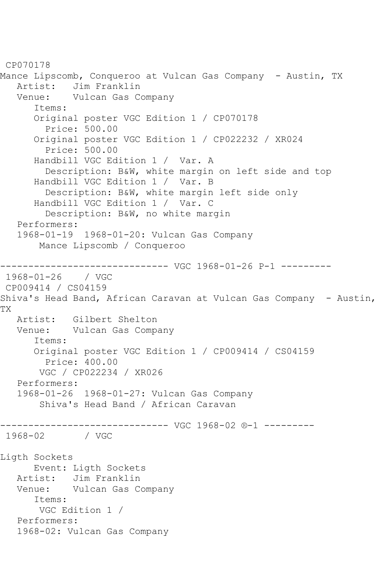CP070178 Mance Lipscomb, Conqueroo at Vulcan Gas Company - Austin, TX<br>Artist: Jim Franklin Jim Franklin Venue: Vulcan Gas Company Items: Original poster VGC Edition 1 / CP070178 Price: 500.00 Original poster VGC Edition 1 / CP022232 / XR024 Price: 500.00 Handbill VGC Edition 1 / Var. A Description: B&W, white margin on left side and top Handbill VGC Edition 1 / Var. B Description: B&W, white margin left side only Handbill VGC Edition 1 / Var. C Description: B&W, no white margin Performers: 1968-01-19 1968-01-20: Vulcan Gas Company Mance Lipscomb / Conqueroo ------------------------------ VGC 1968-01-26 P-1 --------- 1968-01-26 / VGC CP009414 / CS04159 Shiva's Head Band, African Caravan at Vulcan Gas Company - Austin, TX Artist: Gilbert Shelton Venue: Vulcan Gas Company Items: Original poster VGC Edition 1 / CP009414 / CS04159 Price: 400.00 VGC / CP022234 / XR026 Performers: 1968-01-26 1968-01-27: Vulcan Gas Company Shiva's Head Band / African Caravan ------------------------------ VGC 1968-02 ®-1 --------- 1968-02 / VGC Ligth Sockets Event: Ligth Sockets Artist: Jim Franklin Venue: Vulcan Gas Company Items: VGC Edition 1 / Performers: 1968-02: Vulcan Gas Company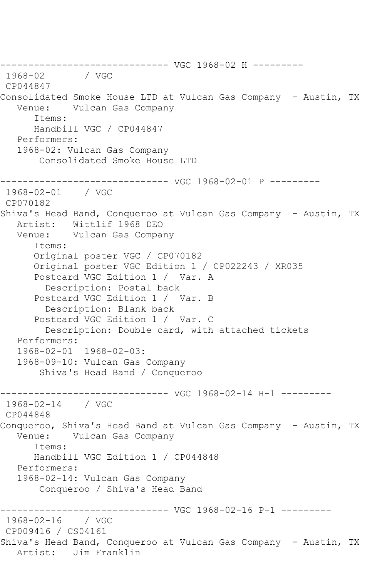------------------------------ VGC 1968-02 H ---------  $1968 - 02$ CP044847 Consolidated Smoke House LTD at Vulcan Gas Company - Austin, TX Vulcan Gas Company Items: Handbill VGC / CP044847 Performers: 1968-02: Vulcan Gas Company Consolidated Smoke House LTD ------------------------------ VGC 1968-02-01 P --------- 1968-02-01 / VGC CP070182 Shiva's Head Band, Conqueroo at Vulcan Gas Company - Austin, TX Artist: Wittlif 1968 DEO Venue: Vulcan Gas Company Items: Original poster VGC / CP070182 Original poster VGC Edition 1 / CP022243 / XR035 Postcard VGC Edition 1 / Var. A Description: Postal back Postcard VGC Edition 1 / Var. B Description: Blank back Postcard VGC Edition 1 / Var. C Description: Double card, with attached tickets Performers: 1968-02-01 1968-02-03: 1968-09-10: Vulcan Gas Company Shiva's Head Band / Conqueroo ------------------------------ VGC 1968-02-14 H-1 --------- 1968-02-14 / VGC CP044848 Conqueroo, Shiva's Head Band at Vulcan Gas Company - Austin, TX Venue: Vulcan Gas Company Items: Handbill VGC Edition 1 / CP044848 Performers: 1968-02-14: Vulcan Gas Company Conqueroo / Shiva's Head Band ------------------------------ VGC 1968-02-16 P-1 --------- 1968-02-16 / VGC CP009416 / CS04161 Shiva's Head Band, Conqueroo at Vulcan Gas Company - Austin, TX Artist: Jim Franklin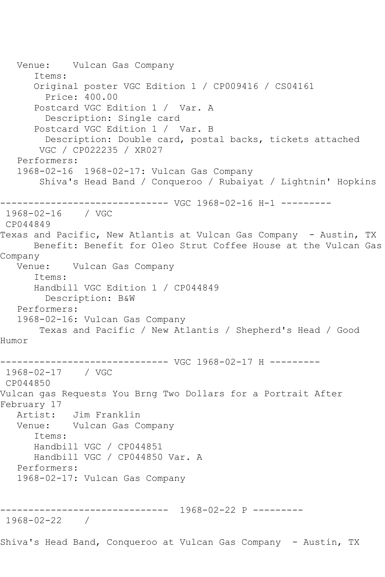Venue: Vulcan Gas Company Items: Original poster VGC Edition 1 / CP009416 / CS04161 Price: 400.00 Postcard VGC Edition 1 / Var. A Description: Single card Postcard VGC Edition 1 / Var. B Description: Double card, postal backs, tickets attached VGC / CP022235 / XR027 Performers: 1968-02-16 1968-02-17: Vulcan Gas Company Shiva's Head Band / Conqueroo / Rubaiyat / Lightnin' Hopkins ------------------------------ VGC 1968-02-16 H-1 --------- 1968-02-16 / VGC CP044849 Texas and Pacific, New Atlantis at Vulcan Gas Company - Austin, TX Benefit: Benefit for Oleo Strut Coffee House at the Vulcan Gas Company Venue: Vulcan Gas Company Items: Handbill VGC Edition 1 / CP044849 Description: B&W Performers: 1968-02-16: Vulcan Gas Company Texas and Pacific / New Atlantis / Shepherd's Head / Good Humor ------------------------------ VGC 1968-02-17 H --------- 1968-02-17 / VGC CP044850 Vulcan gas Requests You Brng Two Dollars for a Portrait After February 17 Artist: Jim Franklin Venue: Vulcan Gas Company Items: Handbill VGC / CP044851 Handbill VGC / CP044850 Var. A Performers: 1968-02-17: Vulcan Gas Company ------------------------------ 1968-02-22 P --------- 1968-02-22 / Shiva's Head Band, Conqueroo at Vulcan Gas Company - Austin, TX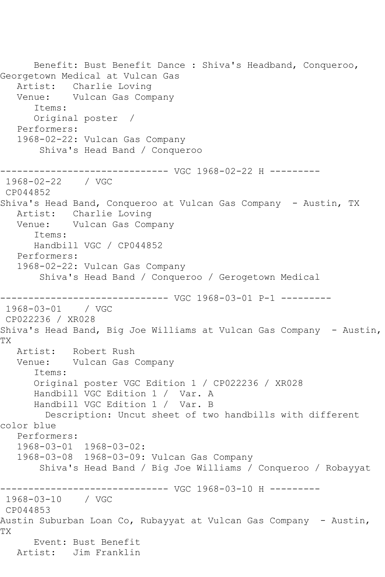Benefit: Bust Benefit Dance : Shiva's Headband, Conqueroo, Georgetown Medical at Vulcan Gas Artist: Charlie Loving Venue: Vulcan Gas Company Items: Original poster / Performers: 1968-02-22: Vulcan Gas Company Shiva's Head Band / Conqueroo ------------------------------ VGC 1968-02-22 H --------- 1968-02-22 / VGC CP044852 Shiva's Head Band, Conqueroo at Vulcan Gas Company - Austin, TX Artist: Charlie Loving Venue: Vulcan Gas Company Items: Handbill VGC / CP044852 Performers: 1968-02-22: Vulcan Gas Company Shiva's Head Band / Conqueroo / Gerogetown Medical ------------------------------ VGC 1968-03-01 P-1 --------- 1968-03-01 / VGC CP022236 / XR028 Shiva's Head Band, Big Joe Williams at Vulcan Gas Company - Austin, TX Artist: Robert Rush Venue: Vulcan Gas Company Items: Original poster VGC Edition 1 / CP022236 / XR028 Handbill VGC Edition 1 / Var. A Handbill VGC Edition 1 / Var. B Description: Uncut sheet of two handbills with different color blue Performers: 1968-03-01 1968-03-02: 1968-03-08 1968-03-09: Vulcan Gas Company Shiva's Head Band / Big Joe Williams / Conqueroo / Robayyat ------------------------------ VGC 1968-03-10 H --------- 1968-03-10 / VGC CP044853 Austin Suburban Loan Co, Rubayyat at Vulcan Gas Company - Austin, TX Event: Bust Benefit Artist: Jim Franklin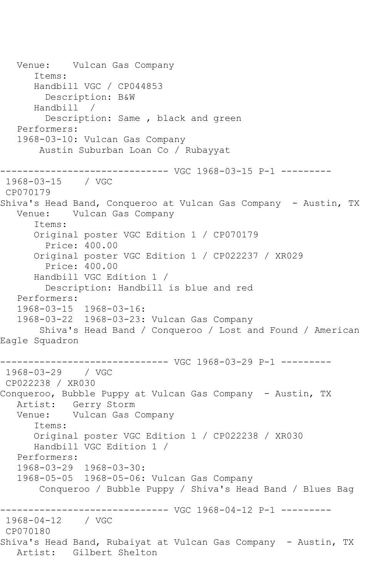Venue: Vulcan Gas Company Items: Handbill VGC / CP044853 Description: B&W<br>ndbill / Handbill / Description: Same , black and green Performers: 1968-03-10: Vulcan Gas Company Austin Suburban Loan Co / Rubayyat ------------------------------ VGC 1968-03-15 P-1 --------- 1968-03-15 / VGC CP070179 Shiva's Head Band, Conqueroo at Vulcan Gas Company - Austin, TX Venue: Vulcan Gas Company Items: Original poster VGC Edition 1 / CP070179 Price: 400.00 Original poster VGC Edition 1 / CP022237 / XR029 Price: 400.00 Handbill VGC Edition 1 / Description: Handbill is blue and red Performers: 1968-03-15 1968-03-16: 1968-03-22 1968-03-23: Vulcan Gas Company Shiva's Head Band / Conqueroo / Lost and Found / American Eagle Squadron ------------------------------ VGC 1968-03-29 P-1 --------- 1968-03-29 / VGC CP022238 / XR030 Conqueroo, Bubble Puppy at Vulcan Gas Company - Austin, TX Artist: Gerry Storm<br>Venue: Vulcan Gas Vulcan Gas Company Items: Original poster VGC Edition 1 / CP022238 / XR030 Handbill VGC Edition 1 / Performers: 1968-03-29 1968-03-30: 1968-05-05 1968-05-06: Vulcan Gas Company Conqueroo / Bubble Puppy / Shiva's Head Band / Blues Bag ------------------------------ VGC 1968-04-12 P-1 --------- 1968-04-12 / VGC CP070180 Shiva's Head Band, Rubaiyat at Vulcan Gas Company - Austin, TX Artist: Gilbert Shelton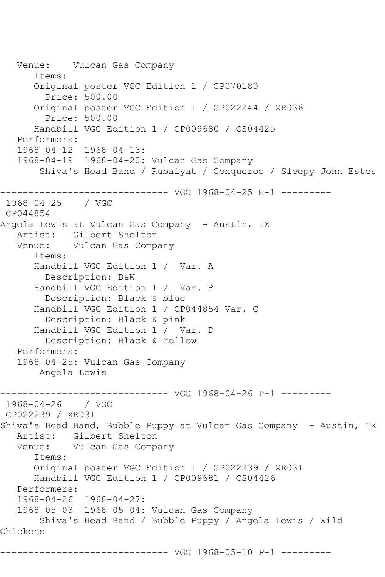```
 Venue: Vulcan Gas Company
       Items:
       Original poster VGC Edition 1 / CP070180
         Price: 500.00
       Original poster VGC Edition 1 / CP022244 / XR036
         Price: 500.00
       Handbill VGC Edition 1 / CP009680 / CS04425
    Performers:
    1968-04-12 1968-04-13:
    1968-04-19 1968-04-20: Vulcan Gas Company
        Shiva's Head Band / Rubaiyat / Conqueroo / Sleepy John Estes
        ------------------------------ VGC 1968-04-25 H-1 ---------
1968-04-25 / VGC 
CP044854
Angela Lewis at Vulcan Gas Company - Austin, TX
   Artist: Gilbert Shelton
   Venue: Vulcan Gas Company
       Items:
       Handbill VGC Edition 1 / Var. A
         Description: B&W
       Handbill VGC Edition 1 / Var. B
         Description: Black & blue
       Handbill VGC Edition 1 / CP044854 Var. C
         Description: Black & pink
       Handbill VGC Edition 1 / Var. D
         Description: Black & Yellow
    Performers:
    1968-04-25: Vulcan Gas Company
        Angela Lewis
                 ------------------------------ VGC 1968-04-26 P-1 ---------
1968-04-26 / VGC 
CP022239 / XR031
Shiva's Head Band, Bubble Puppy at Vulcan Gas Company - Austin, TX
  Artist: Gilbert Shelton<br>Venue: Vulcan Gas Comp.
           Vulcan Gas Company
       Items:
       Original poster VGC Edition 1 / CP022239 / XR031
       Handbill VGC Edition 1 / CP009681 / CS04426
   Performers:
    1968-04-26 1968-04-27:
    1968-05-03 1968-05-04: Vulcan Gas Company
        Shiva's Head Band / Bubble Puppy / Angela Lewis / Wild 
Chickens
        ------------------------------ VGC 1968-05-10 P-1 ---------
```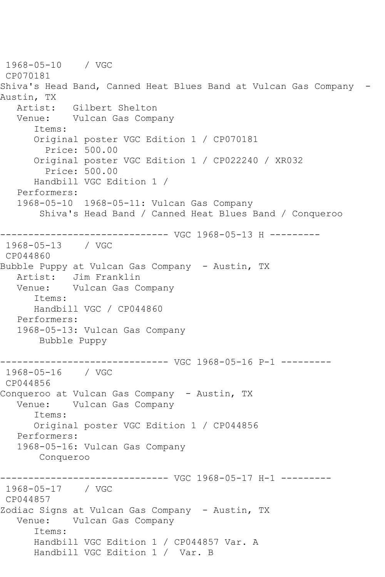1968-05-10 / VGC CP070181 Shiva's Head Band, Canned Heat Blues Band at Vulcan Gas Company - Austin, TX Artist: Gilbert Shelton Venue: Vulcan Gas Company Items: Original poster VGC Edition 1 / CP070181 Price: 500.00 Original poster VGC Edition 1 / CP022240 / XR032 Price: 500.00 Handbill VGC Edition 1 / Performers: 1968-05-10 1968-05-11: Vulcan Gas Company Shiva's Head Band / Canned Heat Blues Band / Conqueroo ------------------------------ VGC 1968-05-13 H --------- 1968-05-13 / VGC CP044860 Bubble Puppy at Vulcan Gas Company - Austin, TX Artist: Jim Franklin Venue: Vulcan Gas Company Items: Handbill VGC / CP044860 Performers: 1968-05-13: Vulcan Gas Company Bubble Puppy ------------------------------ VGC 1968-05-16 P-1 --------- 1968-05-16 / VGC CP044856 Conqueroo at Vulcan Gas Company - Austin, TX Venue: Vulcan Gas Company Items: Original poster VGC Edition 1 / CP044856 Performers: 1968-05-16: Vulcan Gas Company Conqueroo ------------------------------ VGC 1968-05-17 H-1 --------- 1968-05-17 / VGC CP044857 Zodiac Signs at Vulcan Gas Company - Austin, TX Venue: Vulcan Gas Company Items: Handbill VGC Edition 1 / CP044857 Var. A Handbill VGC Edition 1 / Var. B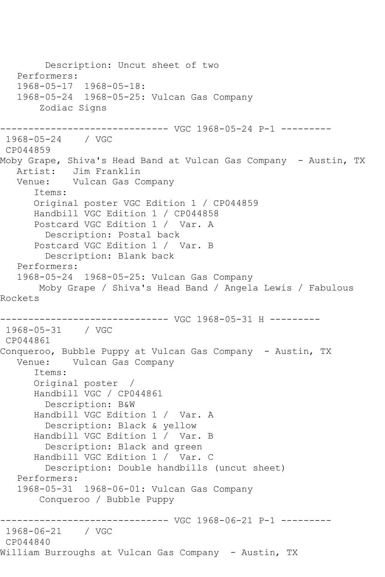Description: Uncut sheet of two Performers: 1968-05-17 1968-05-18: 1968-05-24 1968-05-25: Vulcan Gas Company Zodiac Signs ------------------------------ VGC 1968-05-24 P-1 --------- 1968-05-24 / VGC CP044859 Moby Grape, Shiva's Head Band at Vulcan Gas Company - Austin, TX Artist: Jim Franklin Venue: Vulcan Gas Company Items: Original poster VGC Edition 1 / CP044859 Handbill VGC Edition 1 / CP044858 Postcard VGC Edition 1 / Var. A Description: Postal back Postcard VGC Edition 1 / Var. B Description: Blank back Performers: 1968-05-24 1968-05-25: Vulcan Gas Company Moby Grape / Shiva's Head Band / Angela Lewis / Fabulous Rockets ------------------------------ VGC 1968-05-31 H --------- 1968-05-31 / VGC CP044861 Conqueroo, Bubble Puppy at Vulcan Gas Company - Austin, TX Venue: Vulcan Gas Company Items: Original poster / Handbill VGC / CP044861 Description: B&W Handbill VGC Edition 1 / Var. A Description: Black & yellow Handbill VGC Edition 1 / Var. B Description: Black and green Handbill VGC Edition 1 / Var. C Description: Double handbills (uncut sheet) Performers: 1968-05-31 1968-06-01: Vulcan Gas Company Conqueroo / Bubble Puppy ------------------------------ VGC 1968-06-21 P-1 --------- 1968-06-21 CP044840 William Burroughs at Vulcan Gas Company - Austin, TX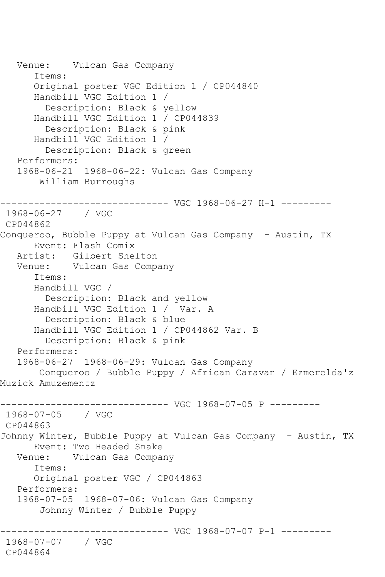Venue: Vulcan Gas Company Items: Original poster VGC Edition 1 / CP044840 Handbill VGC Edition 1 / Description: Black & yellow Handbill VGC Edition 1 / CP044839 Description: Black & pink Handbill VGC Edition 1 / Description: Black & green Performers: 1968-06-21 1968-06-22: Vulcan Gas Company William Burroughs ------------------------------ VGC 1968-06-27 H-1 --------- 1968-06-27 / VGC CP044862 Conqueroo, Bubble Puppy at Vulcan Gas Company - Austin, TX Event: Flash Comix<br>Artist: Gilbert Shelton Artist: Gilbert Shelton Venue: Vulcan Gas Company Items: Handbill VGC / Description: Black and yellow Handbill VGC Edition 1 / Var. A Description: Black & blue Handbill VGC Edition 1 / CP044862 Var. B Description: Black & pink Performers: 1968-06-27 1968-06-29: Vulcan Gas Company Conqueroo / Bubble Puppy / African Caravan / Ezmerelda'z Muzick Amuzementz ------------------------------ VGC 1968-07-05 P --------- 1968-07-05 / VGC CP044863 Johnny Winter, Bubble Puppy at Vulcan Gas Company - Austin, TX Event: Two Headed Snake Venue: Vulcan Gas Company Items: Original poster VGC / CP044863 Performers: 1968-07-05 1968-07-06: Vulcan Gas Company Johnny Winter / Bubble Puppy ------------------------------ VGC 1968-07-07 P-1 --------- 1968-07-07 / VGC CP044864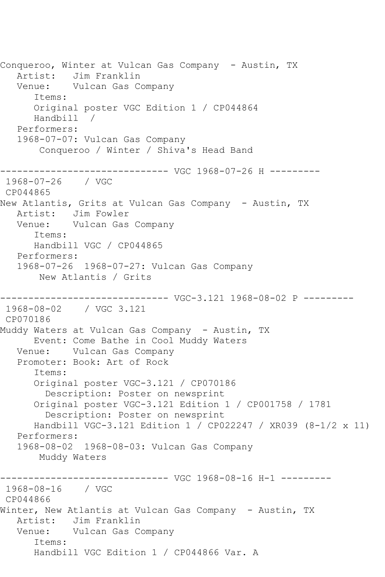Conqueroo, Winter at Vulcan Gas Company - Austin, TX Artist: Jim Franklin Venue: Vulcan Gas Company Items: Original poster VGC Edition 1 / CP044864 Handbill / Performers: 1968-07-07: Vulcan Gas Company Conqueroo / Winter / Shiva's Head Band ------------------------------ VGC 1968-07-26 H --------- 1968-07-26 / VGC CP044865 New Atlantis, Grits at Vulcan Gas Company - Austin, TX Artist: Jim Fowler Venue: Vulcan Gas Company Items: Handbill VGC / CP044865 Performers: 1968-07-26 1968-07-27: Vulcan Gas Company New Atlantis / Grits ------------------------------ VGC-3.121 1968-08-02 P --------- 1968-08-02 / VGC 3.121 CP070186 Muddy Waters at Vulcan Gas Company - Austin, TX Event: Come Bathe in Cool Muddy Waters Venue: Vulcan Gas Company Promoter: Book: Art of Rock Items: Original poster VGC-3.121 / CP070186 Description: Poster on newsprint Original poster VGC-3.121 Edition 1 / CP001758 / 1781 Description: Poster on newsprint Handbill VGC-3.121 Edition 1 / CP022247 / XR039 (8-1/2 x 11) Performers: 1968-08-02 1968-08-03: Vulcan Gas Company Muddy Waters ------------------------------ VGC 1968-08-16 H-1 --------- 1968-08-16 / VGC CP044866 Winter, New Atlantis at Vulcan Gas Company - Austin, TX Artist: Jim Franklin Venue: Vulcan Gas Company Items: Handbill VGC Edition 1 / CP044866 Var. A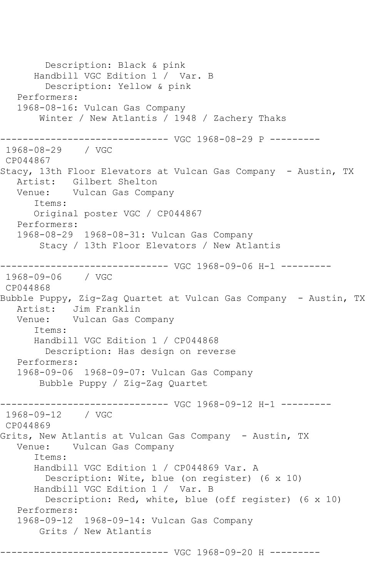Description: Black & pink Handbill VGC Edition 1 / Var. B Description: Yellow & pink Performers: 1968-08-16: Vulcan Gas Company Winter / New Atlantis / 1948 / Zachery Thaks ------------------------------ VGC 1968-08-29 P --------- 1968-08-29 / VGC CP044867 Stacy, 13th Floor Elevators at Vulcan Gas Company - Austin, TX Artist: Gilbert Shelton Venue: Vulcan Gas Company Items: Original poster VGC / CP044867 Performers: 1968-08-29 1968-08-31: Vulcan Gas Company Stacy / 13th Floor Elevators / New Atlantis ------------------------------ VGC 1968-09-06 H-1 --------- 1968-09-06 / VGC CP044868 Bubble Puppy, Zig-Zag Quartet at Vulcan Gas Company - Austin, TX Artist: Jim Franklin Venue: Vulcan Gas Company Items: Handbill VGC Edition 1 / CP044868 Description: Has design on reverse Performers: 1968-09-06 1968-09-07: Vulcan Gas Company Bubble Puppy / Zig-Zag Quartet ------------------------------ VGC 1968-09-12 H-1 --------- 1968-09-12 / VGC CP044869 Grits, New Atlantis at Vulcan Gas Company - Austin, TX Venue: Vulcan Gas Company Items: Handbill VGC Edition 1 / CP044869 Var. A Description: Wite, blue (on register) (6 x 10) Handbill VGC Edition 1 / Var. B Description: Red, white, blue (off register) (6 x 10) Performers: 1968-09-12 1968-09-14: Vulcan Gas Company Grits / New Atlantis ------------------------------ VGC 1968-09-20 H ---------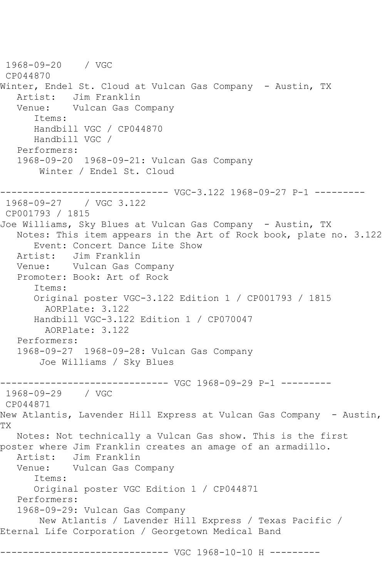1968-09-20 / VGC CP044870 Winter, Endel St. Cloud at Vulcan Gas Company - Austin, TX Artist: Jim Franklin<br>Venue: Vulcan Gas C Vulcan Gas Company Items: Handbill VGC / CP044870 Handbill VGC / Performers: 1968-09-20 1968-09-21: Vulcan Gas Company Winter / Endel St. Cloud ------------------------------ VGC-3.122 1968-09-27 P-1 --------- 1968-09-27 / VGC 3.122 CP001793 / 1815 Joe Williams, Sky Blues at Vulcan Gas Company - Austin, TX Notes: This item appears in the Art of Rock book, plate no. 3.122 Event: Concert Dance Lite Show<br>Artist: Jim Franklin Jim Franklin Venue: Vulcan Gas Company Promoter: Book: Art of Rock Items: Original poster VGC-3.122 Edition 1 / CP001793 / 1815 AORPlate: 3.122 Handbill VGC-3.122 Edition 1 / CP070047 AORPlate: 3.122 Performers: 1968-09-27 1968-09-28: Vulcan Gas Company Joe Williams / Sky Blues ------------------------------ VGC 1968-09-29 P-1 --------- 1968-09-29 / VGC CP044871 New Atlantis, Lavender Hill Express at Vulcan Gas Company - Austin, TX Notes: Not technically a Vulcan Gas show. This is the first poster where Jim Franklin creates an amage of an armadillo. Artist: Jim Franklin Venue: Vulcan Gas Company Items: Original poster VGC Edition 1 / CP044871 Performers: 1968-09-29: Vulcan Gas Company New Atlantis / Lavender Hill Express / Texas Pacific / Eternal Life Corporation / Georgetown Medical Band ------------------------------ VGC 1968-10-10 H ---------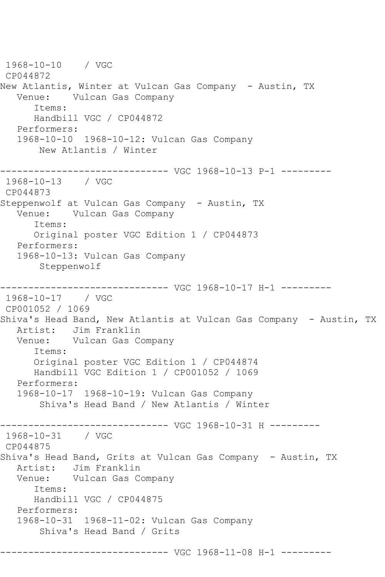1968-10-10 / VGC CP044872 New Atlantis, Winter at Vulcan Gas Company - Austin, TX Venue: Vulcan Gas Company Items: Handbill VGC / CP044872 Performers: 1968-10-10 1968-10-12: Vulcan Gas Company New Atlantis / Winter ------------------------------ VGC 1968-10-13 P-1 --------- 1968-10-13 / VGC CP044873 Steppenwolf at Vulcan Gas Company - Austin, TX Venue: Vulcan Gas Company Items: Original poster VGC Edition 1 / CP044873 Performers: 1968-10-13: Vulcan Gas Company Steppenwolf ------------------------------ VGC 1968-10-17 H-1 --------- 1968-10-17 / VGC CP001052 / 1069 Shiva's Head Band, New Atlantis at Vulcan Gas Company - Austin, TX Artist: Jim Franklin Venue: Vulcan Gas Company Items: Original poster VGC Edition 1 / CP044874 Handbill VGC Edition 1 / CP001052 / 1069 Performers: 1968-10-17 1968-10-19: Vulcan Gas Company Shiva's Head Band / New Atlantis / Winter ------------------------------ VGC 1968-10-31 H --------- 1968-10-31 / VGC CP044875 Shiva's Head Band, Grits at Vulcan Gas Company - Austin, TX Artist: Jim Franklin Venue: Vulcan Gas Company Items: Handbill VGC / CP044875 Performers: 1968-10-31 1968-11-02: Vulcan Gas Company Shiva's Head Band / Grits ------------------------------ VGC 1968-11-08 H-1 ---------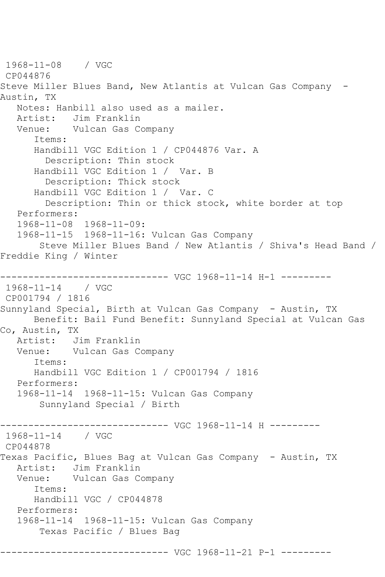1968-11-08 / VGC CP044876 Steve Miller Blues Band, New Atlantis at Vulcan Gas Company - Austin, TX Notes: Hanbill also used as a mailer. Artist: Jim Franklin Venue: Vulcan Gas Company Items: Handbill VGC Edition 1 / CP044876 Var. A Description: Thin stock Handbill VGC Edition 1 / Var. B Description: Thick stock Handbill VGC Edition 1 / Var. C Description: Thin or thick stock, white border at top Performers: 1968-11-08 1968-11-09: 1968-11-15 1968-11-16: Vulcan Gas Company Steve Miller Blues Band / New Atlantis / Shiva's Head Band / Freddie King / Winter ------------------------------ VGC 1968-11-14 H-1 --------- 1968-11-14 / VGC CP001794 / 1816 Sunnyland Special, Birth at Vulcan Gas Company - Austin, TX Benefit: Bail Fund Benefit: Sunnyland Special at Vulcan Gas Co, Austin, TX Artist: Jim Franklin Venue: Vulcan Gas Company Items: Handbill VGC Edition 1 / CP001794 / 1816 Performers: 1968-11-14 1968-11-15: Vulcan Gas Company Sunnyland Special / Birth ------------------------------ VGC 1968-11-14 H --------- 1968-11-14 / VGC CP044878 Texas Pacific, Blues Bag at Vulcan Gas Company - Austin, TX Artist: Jim Franklin<br>Venue: Vulcan Gas Co Vulcan Gas Company Items: Handbill VGC / CP044878 Performers: 1968-11-14 1968-11-15: Vulcan Gas Company Texas Pacific / Blues Bag ------------------------------ VGC 1968-11-21 P-1 ---------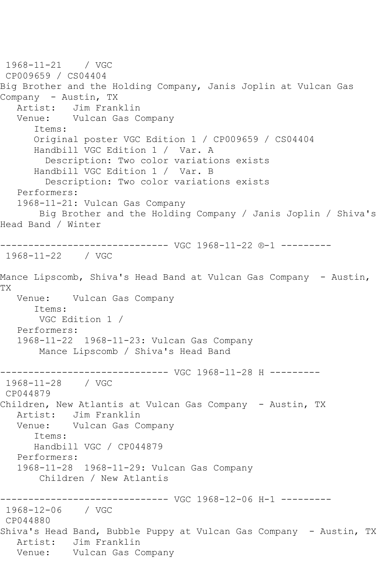1968-11-21 / VGC CP009659 / CS04404 Big Brother and the Holding Company, Janis Joplin at Vulcan Gas Company - Austin, TX Artist: Jim Franklin Venue: Vulcan Gas Company Items: Original poster VGC Edition 1 / CP009659 / CS04404 Handbill VGC Edition 1 / Var. A Description: Two color variations exists Handbill VGC Edition 1 / Var. B Description: Two color variations exists Performers: 1968-11-21: Vulcan Gas Company Big Brother and the Holding Company / Janis Joplin / Shiva's Head Band / Winter ------------------------------ VGC 1968-11-22 ®-1 --------- 1968-11-22 / VGC Mance Lipscomb, Shiva's Head Band at Vulcan Gas Company - Austin, TX Venue: Vulcan Gas Company Items: VGC Edition 1 / Performers: 1968-11-22 1968-11-23: Vulcan Gas Company Mance Lipscomb / Shiva's Head Band ------------------------------ VGC 1968-11-28 H --------- 1968-11-28 / VGC CP044879 Children, New Atlantis at Vulcan Gas Company - Austin, TX Artist: Jim Franklin Venue: Vulcan Gas Company Items: Handbill VGC / CP044879 Performers: 1968-11-28 1968-11-29: Vulcan Gas Company Children / New Atlantis ------------------------------ VGC 1968-12-06 H-1 --------- 1968-12-06 / VGC CP044880 Shiva's Head Band, Bubble Puppy at Vulcan Gas Company - Austin, TX Artist: Jim Franklin Venue: Vulcan Gas Company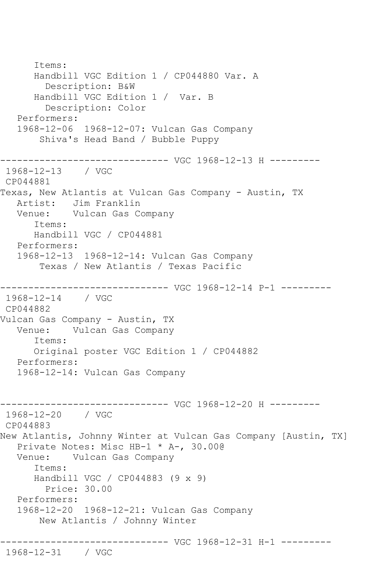Items: Handbill VGC Edition 1 / CP044880 Var. A Description: B&W Handbill VGC Edition 1 / Var. B Description: Color Performers: 1968-12-06 1968-12-07: Vulcan Gas Company Shiva's Head Band / Bubble Puppy ------------------------------ VGC 1968-12-13 H --------- 1968-12-13 / VGC CP044881 Texas, New Atlantis at Vulcan Gas Company - Austin, TX Artist: Jim Franklin Venue: Vulcan Gas Company Items: Handbill VGC / CP044881 Performers: 1968-12-13 1968-12-14: Vulcan Gas Company Texas / New Atlantis / Texas Pacific ------------------------------ VGC 1968-12-14 P-1 --------- 1968-12-14 / VGC CP044882 Vulcan Gas Company - Austin, TX Venue: Vulcan Gas Company Items: Original poster VGC Edition 1 / CP044882 Performers: 1968-12-14: Vulcan Gas Company ------------------------------ VGC 1968-12-20 H --------- 1968-12-20 / VGC CP044883 New Atlantis, Johnny Winter at Vulcan Gas Company [Austin, TX] Private Notes: Misc HB-1 \* A-, 30.00@ Venue: Vulcan Gas Company Items: Handbill VGC / CP044883 (9 x 9) Price: 30.00 Performers: 1968-12-20 1968-12-21: Vulcan Gas Company New Atlantis / Johnny Winter ------------------------------ VGC 1968-12-31 H-1 --------- 1968-12-31 / VGC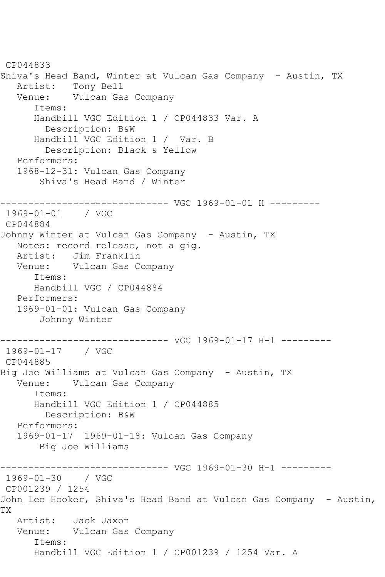CP044833 Shiva's Head Band, Winter at Vulcan Gas Company - Austin, TX Artist: Tony Bell Venue: Vulcan Gas Company Items: Handbill VGC Edition 1 / CP044833 Var. A Description: B&W Handbill VGC Edition 1 / Var. B Description: Black & Yellow Performers: 1968-12-31: Vulcan Gas Company Shiva's Head Band / Winter ------------------------------ VGC 1969-01-01 H --------- 1969-01-01 / VGC CP044884 Johnny Winter at Vulcan Gas Company - Austin, TX Notes: record release, not a gig. Artist: Jim Franklin Venue: Vulcan Gas Company Items: Handbill VGC / CP044884 Performers: 1969-01-01: Vulcan Gas Company Johnny Winter ------------------------------ VGC 1969-01-17 H-1 --------- 1969-01-17 / VGC CP044885 Big Joe Williams at Vulcan Gas Company - Austin, TX Venue: Vulcan Gas Company Items: Handbill VGC Edition 1 / CP044885 Description: B&W Performers: 1969-01-17 1969-01-18: Vulcan Gas Company Big Joe Williams ------------------------------ VGC 1969-01-30 H-1 --------- 1969-01-30 / VGC CP001239 / 1254 John Lee Hooker, Shiva's Head Band at Vulcan Gas Company - Austin, TX Artist: Jack Jaxon Venue: Vulcan Gas Company Items: Handbill VGC Edition 1 / CP001239 / 1254 Var. A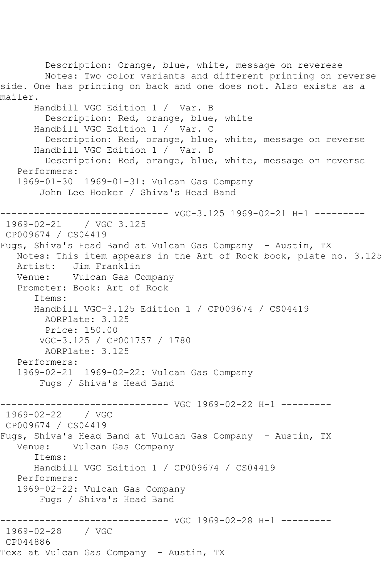Description: Orange, blue, white, message on reverese Notes: Two color variants and different printing on reverse side. One has printing on back and one does not. Also exists as a mailer. Handbill VGC Edition 1 / Var. B Description: Red, orange, blue, white Handbill VGC Edition 1 / Var. C Description: Red, orange, blue, white, message on reverse Handbill VGC Edition 1 / Var. D Description: Red, orange, blue, white, message on reverse Performers: 1969-01-30 1969-01-31: Vulcan Gas Company John Lee Hooker / Shiva's Head Band ------------------------------ VGC-3.125 1969-02-21 H-1 --------- 1969-02-21 / VGC 3.125 CP009674 / CS04419 Fugs, Shiva's Head Band at Vulcan Gas Company - Austin, TX Notes: This item appears in the Art of Rock book, plate no. 3.125 Artist: Jim Franklin Venue: Vulcan Gas Company Promoter: Book: Art of Rock Items: Handbill VGC-3.125 Edition 1 / CP009674 / CS04419 AORPlate: 3.125 Price: 150.00 VGC-3.125 / CP001757 / 1780 AORPlate: 3.125 Performers: 1969-02-21 1969-02-22: Vulcan Gas Company Fugs / Shiva's Head Band ------------------------------ VGC 1969-02-22 H-1 ---------  $1969 - 02 - 22$ CP009674 / CS04419 Fugs, Shiva's Head Band at Vulcan Gas Company - Austin, TX Venue: Vulcan Gas Company Items: Handbill VGC Edition 1 / CP009674 / CS04419 Performers: 1969-02-22: Vulcan Gas Company Fugs / Shiva's Head Band ------------------------------ VGC 1969-02-28 H-1 --------- 1969-02-28 CP044886 Texa at Vulcan Gas Company - Austin, TX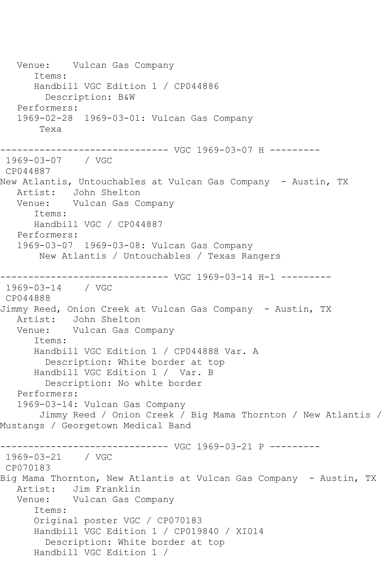Venue: Vulcan Gas Company Items: Handbill VGC Edition 1 / CP044886 Description: B&W Performers: 1969-02-28 1969-03-01: Vulcan Gas Company Texa ------------------------------ VGC 1969-03-07 H --------- 1969-03-07 / VGC CP044887 New Atlantis, Untouchables at Vulcan Gas Company - Austin, TX Artist: John Shelton Venue: Vulcan Gas Company Items: Handbill VGC / CP044887 Performers: 1969-03-07 1969-03-08: Vulcan Gas Company New Atlantis / Untouchables / Texas Rangers ------------------------------ VGC 1969-03-14 H-1 --------- 1969-03-14 / VGC CP044888 Jimmy Reed, Onion Creek at Vulcan Gas Company - Austin, TX Artist: John Shelton Venue: Vulcan Gas Company Items: Handbill VGC Edition 1 / CP044888 Var. A Description: White border at top Handbill VGC Edition 1 / Var. B Description: No white border Performers: 1969-03-14: Vulcan Gas Company Jimmy Reed / Onion Creek / Big Mama Thornton / New Atlantis / Mustangs / Georgetown Medical Band ------------------------------ VGC 1969-03-21 P --------- 1969-03-21 / VGC CP070183 Big Mama Thornton, New Atlantis at Vulcan Gas Company - Austin, TX Artist: Jim Franklin Venue: Vulcan Gas Company Items: Original poster VGC / CP070183 Handbill VGC Edition 1 / CP019840 / XI014 Description: White border at top Handbill VGC Edition 1 /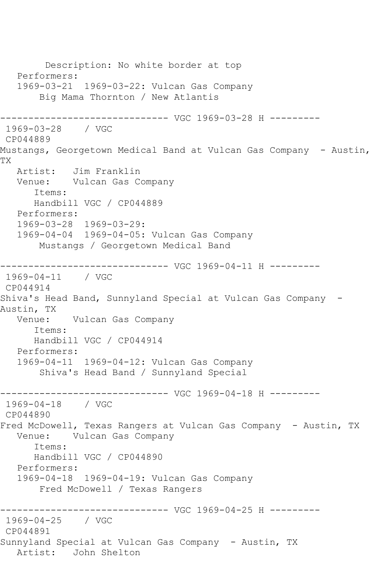Description: No white border at top Performers: 1969-03-21 1969-03-22: Vulcan Gas Company Big Mama Thornton / New Atlantis ------------------------------ VGC 1969-03-28 H --------- 1969-03-28 / VGC CP044889 Mustangs, Georgetown Medical Band at Vulcan Gas Company - Austin, TX Artist: Jim Franklin Venue: Vulcan Gas Company Items: Handbill VGC / CP044889 Performers: 1969-03-28 1969-03-29: 1969-04-04 1969-04-05: Vulcan Gas Company Mustangs / Georgetown Medical Band ------------------------------ VGC 1969-04-11 H --------- 1969-04-11 / VGC CP044914 Shiva's Head Band, Sunnyland Special at Vulcan Gas Company - Austin, TX<br>:Venue Vulcan Gas Company Items: Handbill VGC / CP044914 Performers: 1969-04-11 1969-04-12: Vulcan Gas Company Shiva's Head Band / Sunnyland Special ------------------------------ VGC 1969-04-18 H --------- 1969-04-18 / VGC CP044890 Fred McDowell, Texas Rangers at Vulcan Gas Company - Austin, TX Venue: Vulcan Gas Company Items: Handbill VGC / CP044890 Performers: 1969-04-18 1969-04-19: Vulcan Gas Company Fred McDowell / Texas Rangers ------------------------------ VGC 1969-04-25 H --------- 1969-04-25 / VGC CP044891 Sunnyland Special at Vulcan Gas Company - Austin, TX Artist: John Shelton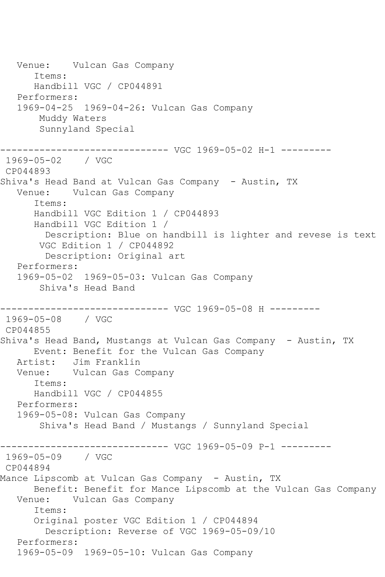Venue: Vulcan Gas Company Items: Handbill VGC / CP044891 Performers: 1969-04-25 1969-04-26: Vulcan Gas Company Muddy Waters Sunnyland Special ------------------------------ VGC 1969-05-02 H-1 --------- 1969-05-02 / VGC CP044893 Shiva's Head Band at Vulcan Gas Company - Austin, TX Venue: Vulcan Gas Company Items: Handbill VGC Edition 1 / CP044893 Handbill VGC Edition 1 / Description: Blue on handbill is lighter and revese is text VGC Edition 1 / CP044892 Description: Original art Performers: 1969-05-02 1969-05-03: Vulcan Gas Company Shiva's Head Band ------------------------------ VGC 1969-05-08 H --------- 1969-05-08 / VGC CP044855 Shiva's Head Band, Mustangs at Vulcan Gas Company - Austin, TX Event: Benefit for the Vulcan Gas Company Artist: Jim Franklin Venue: Vulcan Gas Company Items: Handbill VGC / CP044855 Performers: 1969-05-08: Vulcan Gas Company Shiva's Head Band / Mustangs / Sunnyland Special ------------------------------ VGC 1969-05-09 P-1 --------- 1969-05-09 / VGC CP044894 Mance Lipscomb at Vulcan Gas Company - Austin, TX Benefit: Benefit for Mance Lipscomb at the Vulcan Gas Company Venue: Vulcan Gas Company Items: Original poster VGC Edition 1 / CP044894 Description: Reverse of VGC 1969-05-09/10 Performers: 1969-05-09 1969-05-10: Vulcan Gas Company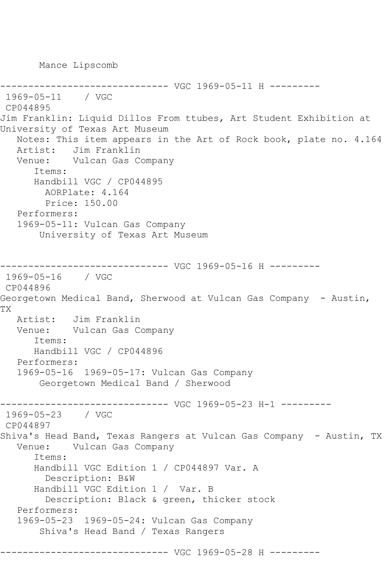Mance Lipscomb

```
----------- VGC 1969-05-11 H ---------
1969-05-11 / VGC 
CP044895
Jim Franklin: Liquid Dillos From ttubes, Art Student Exhibition at 
University of Texas Art Museum
   Notes: This item appears in the Art of Rock book, plate no. 4.164
   Artist: Jim Franklin
   Venue: Vulcan Gas Company
       Items:
      Handbill VGC / CP044895
        AORPlate: 4.164 
        Price: 150.00
   Performers:
   1969-05-11: Vulcan Gas Company
       University of Texas Art Museum
------------------------------ VGC 1969-05-16 H ---------
1969-05-16 / VGC 
CP044896
Georgetown Medical Band, Sherwood at Vulcan Gas Company - Austin,
TX
   Artist: Jim Franklin
   Venue: Vulcan Gas Company
       Items:
      Handbill VGC / CP044896
   Performers:
   1969-05-16 1969-05-17: Vulcan Gas Company
       Georgetown Medical Band / Sherwood
------------------------------ VGC 1969-05-23 H-1 ---------
1969-05-23 / VGC 
CP044897
Shiva's Head Band, Texas Rangers at Vulcan Gas Company - Austin, TX
   Venue: Vulcan Gas Company
       Items:
      Handbill VGC Edition 1 / CP044897 Var. A
        Description: B&W
       Handbill VGC Edition 1 / Var. B
         Description: Black & green, thicker stock
   Performers:
   1969-05-23 1969-05-24: Vulcan Gas Company
       Shiva's Head Band / Texas Rangers
          ------------------------------ VGC 1969-05-28 H ---------
```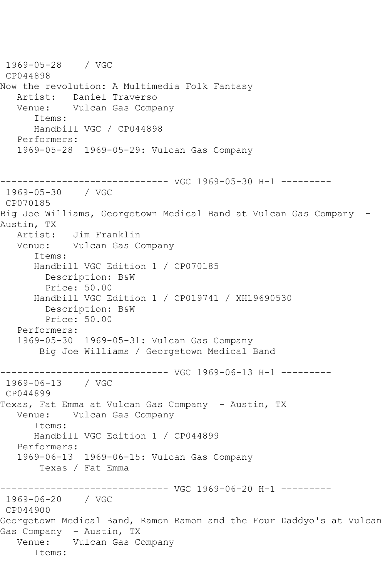1969-05-28 / VGC CP044898 Now the revolution: A Multimedia Folk Fantasy Artist: Daniel Traverso<br>Venue: Vulcan Gas Comp Vulcan Gas Company Items: Handbill VGC / CP044898 Performers: 1969-05-28 1969-05-29: Vulcan Gas Company ------------------------------ VGC 1969-05-30 H-1 --------- 1969-05-30 / VGC CP070185 Big Joe Williams, Georgetown Medical Band at Vulcan Gas Company - Austin, TX Artist: Jim Franklin Venue: Vulcan Gas Company Items: Handbill VGC Edition 1 / CP070185 Description: B&W Price: 50.00 Handbill VGC Edition 1 / CP019741 / XH19690530 Description: B&W Price: 50.00 Performers: 1969-05-30 1969-05-31: Vulcan Gas Company Big Joe Williams / Georgetown Medical Band ------------------------------ VGC 1969-06-13 H-1 --------- 1969-06-13 / VGC CP044899 Texas, Fat Emma at Vulcan Gas Company - Austin, TX Venue: Vulcan Gas Company Items: Handbill VGC Edition 1 / CP044899 Performers: 1969-06-13 1969-06-15: Vulcan Gas Company Texas / Fat Emma ------------------------------ VGC 1969-06-20 H-1 --------- 1969-06-20 / VGC CP044900 Georgetown Medical Band, Ramon Ramon and the Four Daddyo's at Vulcan Gas Company - Austin, TX Venue: Vulcan Gas Company Items: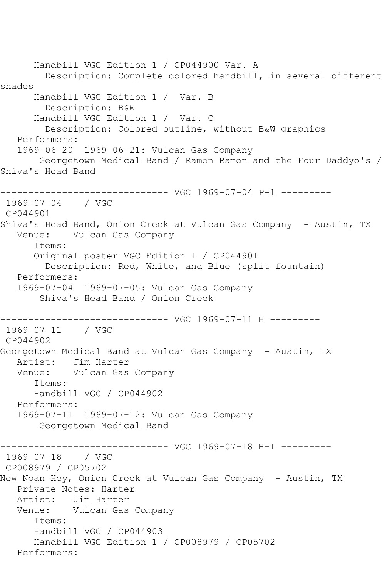Handbill VGC Edition 1 / CP044900 Var. A Description: Complete colored handbill, in several different shades Handbill VGC Edition 1 / Var. B Description: B&W Handbill VGC Edition 1 / Var. C Description: Colored outline, without B&W graphics Performers: 1969-06-20 1969-06-21: Vulcan Gas Company Georgetown Medical Band / Ramon Ramon and the Four Daddyo's / Shiva's Head Band ------------------------------ VGC 1969-07-04 P-1 --------- 1969-07-04 / VGC CP044901 Shiva's Head Band, Onion Creek at Vulcan Gas Company - Austin, TX Venue: Vulcan Gas Company Items: Original poster VGC Edition 1 / CP044901 Description: Red, White, and Blue (split fountain) Performers: 1969-07-04 1969-07-05: Vulcan Gas Company Shiva's Head Band / Onion Creek ------------------------------ VGC 1969-07-11 H --------- 1969-07-11 / VGC CP044902 Georgetown Medical Band at Vulcan Gas Company - Austin, TX Artist: Jim Harter Venue: Vulcan Gas Company Items: Handbill VGC / CP044902 Performers: 1969-07-11 1969-07-12: Vulcan Gas Company Georgetown Medical Band ------------------------------ VGC 1969-07-18 H-1 --------- 1969-07-18 / VGC CP008979 / CP05702 New Noan Hey, Onion Creek at Vulcan Gas Company - Austin, TX Private Notes: Harter Artist: Jim Harter Venue: Vulcan Gas Company Items: Handbill VGC / CP044903 Handbill VGC Edition 1 / CP008979 / CP05702 Performers: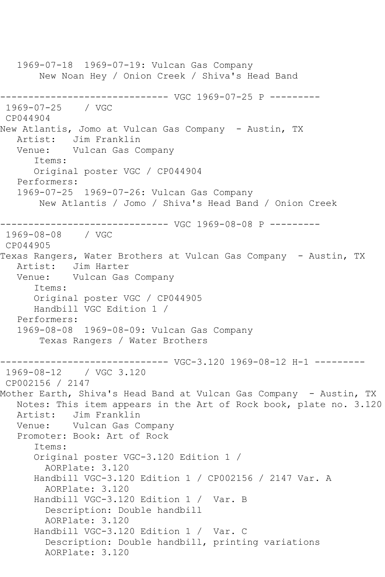1969-07-18 1969-07-19: Vulcan Gas Company New Noan Hey / Onion Creek / Shiva's Head Band ------------------------------ VGC 1969-07-25 P --------- 1969-07-25 / VGC CP044904 New Atlantis, Jomo at Vulcan Gas Company - Austin, TX Artist: Jim Franklin Venue: Vulcan Gas Company Items: Original poster VGC / CP044904 Performers: 1969-07-25 1969-07-26: Vulcan Gas Company New Atlantis / Jomo / Shiva's Head Band / Onion Creek ------------------------------ VGC 1969-08-08 P --------- 1969-08-08 / VGC CP044905 Texas Rangers, Water Brothers at Vulcan Gas Company - Austin, TX Artist: Jim Harter Venue: Vulcan Gas Company Items: Original poster VGC / CP044905 Handbill VGC Edition 1 / Performers: 1969-08-08 1969-08-09: Vulcan Gas Company Texas Rangers / Water Brothers ------------------------------ VGC-3.120 1969-08-12 H-1 --------- 1969-08-12 / VGC 3.120 CP002156 / 2147 Mother Earth, Shiva's Head Band at Vulcan Gas Company - Austin, TX Notes: This item appears in the Art of Rock book, plate no. 3.120 Artist: Jim Franklin Venue: Vulcan Gas Company Promoter: Book: Art of Rock Items: Original poster VGC-3.120 Edition 1 / AORPlate: 3.120 Handbill VGC-3.120 Edition 1 / CP002156 / 2147 Var. A AORPlate: 3.120 Handbill VGC-3.120 Edition 1 / Var. B Description: Double handbill AORPlate: 3.120 Handbill VGC-3.120 Edition 1 / Var. C Description: Double handbill, printing variations AORPlate: 3.120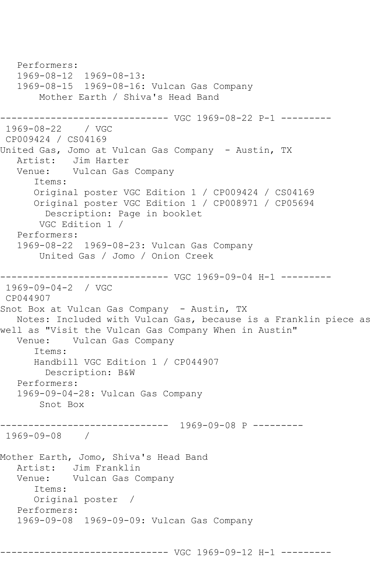Performers: 1969-08-12 1969-08-13: 1969-08-15 1969-08-16: Vulcan Gas Company Mother Earth / Shiva's Head Band ------------------------------ VGC 1969-08-22 P-1 --------- 1969-08-22 / VGC CP009424 / CS04169 United Gas, Jomo at Vulcan Gas Company - Austin, TX Artist: Jim Harter Venue: Vulcan Gas Company Items: Original poster VGC Edition 1 / CP009424 / CS04169 Original poster VGC Edition 1 / CP008971 / CP05694 Description: Page in booklet VGC Edition 1 / Performers: 1969-08-22 1969-08-23: Vulcan Gas Company United Gas / Jomo / Onion Creek ------------------------------ VGC 1969-09-04 H-1 --------- 1969-09-04-2 / VGC CP044907 Snot Box at Vulcan Gas Company - Austin, TX Notes: Included with Vulcan Gas, because is a Franklin piece as well as "Visit the Vulcan Gas Company When in Austin" Venue: Vulcan Gas Company Items: Handbill VGC Edition 1 / CP044907 Description: B&W Performers: 1969-09-04-28: Vulcan Gas Company Snot Box ------------------------------ 1969-09-08 P --------- 1969-09-08 / Mother Earth, Jomo, Shiva's Head Band Artist: Jim Franklin Venue: Vulcan Gas Company Items: Original poster / Performers: 1969-09-08 1969-09-09: Vulcan Gas Company ------------------------------ VGC 1969-09-12 H-1 ---------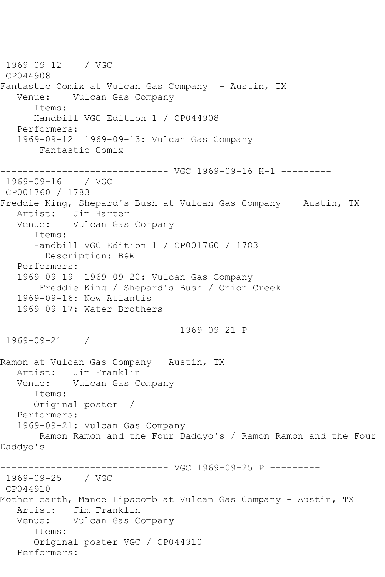1969-09-12 / VGC CP044908 Fantastic Comix at Vulcan Gas Company - Austin, TX Venue: Vulcan Gas Company Items: Handbill VGC Edition 1 / CP044908 Performers: 1969-09-12 1969-09-13: Vulcan Gas Company Fantastic Comix ------------------------------ VGC 1969-09-16 H-1 --------- 1969-09-16 / VGC CP001760 / 1783 Freddie King, Shepard's Bush at Vulcan Gas Company - Austin, TX Artist: Jim Harter Venue: Vulcan Gas Company Items: Handbill VGC Edition 1 / CP001760 / 1783 Description: B&W Performers: 1969-09-19 1969-09-20: Vulcan Gas Company Freddie King / Shepard's Bush / Onion Creek 1969-09-16: New Atlantis 1969-09-17: Water Brothers ------------------------------ 1969-09-21 P --------- 1969-09-21 / Ramon at Vulcan Gas Company - Austin, TX Artist: Jim Franklin<br>Venue: Vulcan Gas C Vulcan Gas Company Items: Original poster / Performers: 1969-09-21: Vulcan Gas Company Ramon Ramon and the Four Daddyo's / Ramon Ramon and the Four Daddyo's ------------------------------ VGC 1969-09-25 P --------- 1969-09-25 / VGC CP044910 Mother earth, Mance Lipscomb at Vulcan Gas Company - Austin, TX Artist: Jim Franklin Venue: Vulcan Gas Company Items: Original poster VGC / CP044910 Performers: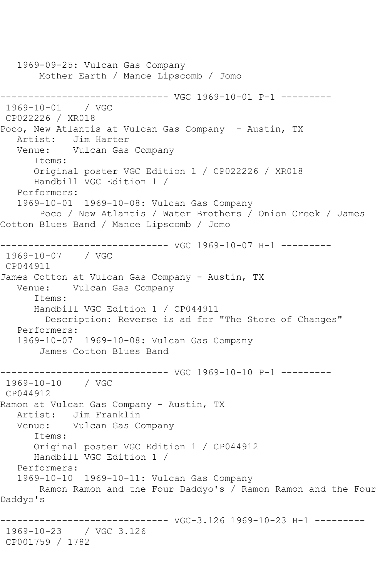1969-09-25: Vulcan Gas Company Mother Earth / Mance Lipscomb / Jomo ------------------------------ VGC 1969-10-01 P-1 --------- 1969-10-01 / VGC CP022226 / XR018 Poco, New Atlantis at Vulcan Gas Company - Austin, TX Artist: Jim Harter Venue: Vulcan Gas Company Items: Original poster VGC Edition 1 / CP022226 / XR018 Handbill VGC Edition 1 / Performers: 1969-10-01 1969-10-08: Vulcan Gas Company Poco / New Atlantis / Water Brothers / Onion Creek / James Cotton Blues Band / Mance Lipscomb / Jomo ------------------------------ VGC 1969-10-07 H-1 --------- 1969-10-07 / VGC CP044911 James Cotton at Vulcan Gas Company - Austin, TX Venue: Vulcan Gas Company Items: Handbill VGC Edition 1 / CP044911 Description: Reverse is ad for "The Store of Changes" Performers: 1969-10-07 1969-10-08: Vulcan Gas Company James Cotton Blues Band ------------------------------ VGC 1969-10-10 P-1 --------- 1969-10-10 / VGC CP044912 Ramon at Vulcan Gas Company - Austin, TX Artist: Jim Franklin Venue: Vulcan Gas Company Items: Original poster VGC Edition 1 / CP044912 Handbill VGC Edition 1 / Performers: 1969-10-10 1969-10-11: Vulcan Gas Company Ramon Ramon and the Four Daddyo's / Ramon Ramon and the Four Daddyo's ------------------------------ VGC-3.126 1969-10-23 H-1 --------- 1969-10-23 / VGC 3.126 CP001759 / 1782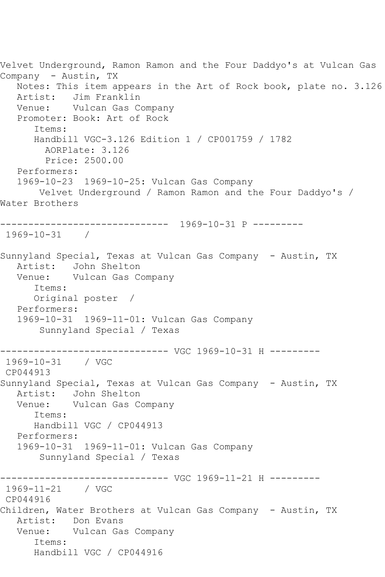Velvet Underground, Ramon Ramon and the Four Daddyo's at Vulcan Gas Company - Austin, TX Notes: This item appears in the Art of Rock book, plate no. 3.126 Artist: Jim Franklin Venue: Vulcan Gas Company Promoter: Book: Art of Rock Items: Handbill VGC-3.126 Edition 1 / CP001759 / 1782 AORPlate: 3.126 Price: 2500.00 Performers: 1969-10-23 1969-10-25: Vulcan Gas Company Velvet Underground / Ramon Ramon and the Four Daddyo's / Water Brothers ------------------------------ 1969-10-31 P --------- 1969-10-31 / Sunnyland Special, Texas at Vulcan Gas Company - Austin, TX Artist: John Shelton Venue: Vulcan Gas Company Items: Original poster / Performers: 1969-10-31 1969-11-01: Vulcan Gas Company Sunnyland Special / Texas ------------------------------ VGC 1969-10-31 H --------- 1969-10-31 / VGC CP044913 Sunnyland Special, Texas at Vulcan Gas Company - Austin, TX Artist: John Shelton Venue: Vulcan Gas Company Items: Handbill VGC / CP044913 Performers: 1969-10-31 1969-11-01: Vulcan Gas Company Sunnyland Special / Texas ------------------------------ VGC 1969-11-21 H --------- 1969-11-21 / VGC CP044916 Children, Water Brothers at Vulcan Gas Company - Austin, TX Artist: Don Evans Venue: Vulcan Gas Company Items: Handbill VGC / CP044916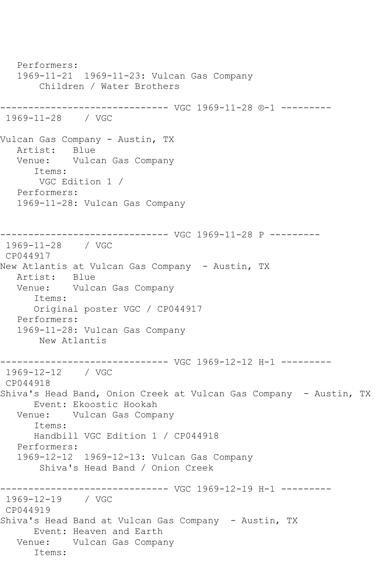Performers: 1969-11-21 1969-11-23: Vulcan Gas Company Children / Water Brothers ------------------------------ VGC 1969-11-28 ®-1 --------- 1969-11-28 / VGC Vulcan Gas Company - Austin, TX Artist: Blue Venue: Vulcan Gas Company Items: VGC Edition 1 / Performers: 1969-11-28: Vulcan Gas Company ------------------------------ VGC 1969-11-28 P --------- 1969-11-28 / VGC CP044917 New Atlantis at Vulcan Gas Company - Austin, TX Artist: Blue Venue: Vulcan Gas Company Items: Original poster VGC / CP044917 Performers: 1969-11-28: Vulcan Gas Company New Atlantis ------------------------------ VGC 1969-12-12 H-1 --------- 1969-12-12 / VGC CP044918 Shiva's Head Band, Onion Creek at Vulcan Gas Company - Austin, TX Event: Ekoostic Hookah<br>Venue: Vulcan Gas Compa Vulcan Gas Company Items: Handbill VGC Edition 1 / CP044918 Performers: 1969-12-12 1969-12-13: Vulcan Gas Company Shiva's Head Band / Onion Creek ------------------------------ VGC 1969-12-19 H-1 --------- 1969-12-19 / VGC CP044919 Shiva's Head Band at Vulcan Gas Company - Austin, TX Event: Heaven and Earth Venue: Vulcan Gas Company Items: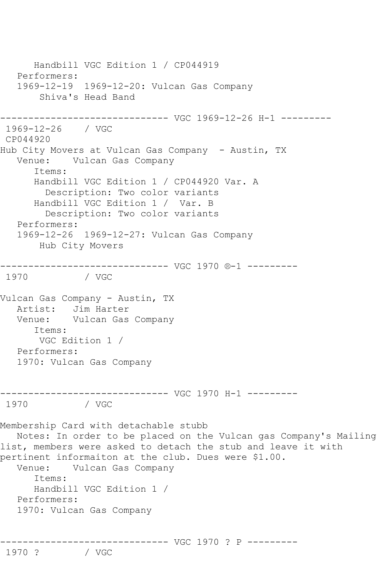Handbill VGC Edition 1 / CP044919 Performers: 1969-12-19 1969-12-20: Vulcan Gas Company Shiva's Head Band ------------------------------ VGC 1969-12-26 H-1 --------- 1969-12-26 / VGC CP044920 Hub City Movers at Vulcan Gas Company - Austin, TX Venue: Vulcan Gas Company Items: Handbill VGC Edition 1 / CP044920 Var. A Description: Two color variants Handbill VGC Edition 1 / Var. B Description: Two color variants Performers: 1969-12-26 1969-12-27: Vulcan Gas Company Hub City Movers ------------------------------ VGC 1970 ®-1 --------- / VGC Vulcan Gas Company - Austin, TX Artist: Jim Harter Venue: Vulcan Gas Company Items: VGC Edition 1 / Performers: 1970: Vulcan Gas Company ------------------------------ VGC 1970 H-1 --------- 1970 / VGC Membership Card with detachable stubb Notes: In order to be placed on the Vulcan gas Company's Mailing list, members were asked to detach the stub and leave it with pertinent informaiton at the club. Dues were \$1.00. Venue: Vulcan Gas Company Items: Handbill VGC Edition 1 / Performers: 1970: Vulcan Gas Company ------------------------------ VGC 1970 ? P --------- 1970 ?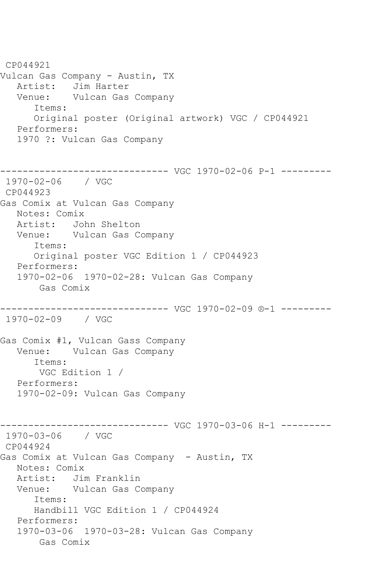CP044921 Vulcan Gas Company - Austin, TX Artist: Jim Harter Venue: Vulcan Gas Company Items: Original poster (Original artwork) VGC / CP044921 Performers: 1970 ?: Vulcan Gas Company ------------------------------ VGC 1970-02-06 P-1 --------- 1970-02-06 / VGC CP044923 Gas Comix at Vulcan Gas Company Notes: Comix Artist: John Shelton Venue: Vulcan Gas Company Items: Original poster VGC Edition 1 / CP044923 Performers: 1970-02-06 1970-02-28: Vulcan Gas Company Gas Comix ------------------------------ VGC 1970-02-09 ®-1 --------- 1970-02-09 / VGC Gas Comix #1, Vulcan Gass Company Venue: Vulcan Gas Company Items: VGC Edition 1 / Performers: 1970-02-09: Vulcan Gas Company ------------------------------ VGC 1970-03-06 H-1 --------- 1970-03-06 / VGC CP044924 Gas Comix at Vulcan Gas Company - Austin, TX Notes: Comix Artist: Jim Franklin Venue: Vulcan Gas Company Items: Handbill VGC Edition 1 / CP044924 Performers: 1970-03-06 1970-03-28: Vulcan Gas Company Gas Comix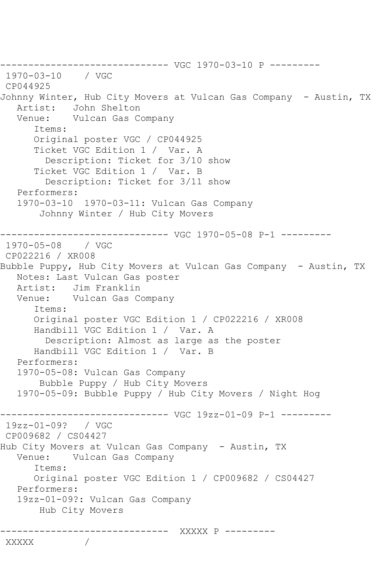------------------------------ VGC 1970-03-10 P --------- 1970-03-10 / VGC CP044925 Johnny Winter, Hub City Movers at Vulcan Gas Company - Austin, TX Artist: John Shelton Venue: Vulcan Gas Company Items: Original poster VGC / CP044925 Ticket VGC Edition 1 / Var. A Description: Ticket for 3/10 show Ticket VGC Edition 1 / Var. B Description: Ticket for 3/11 show Performers: 1970-03-10 1970-03-11: Vulcan Gas Company Johnny Winter / Hub City Movers ------------------------------ VGC 1970-05-08 P-1 --------- 1970-05-08 / VGC CP022216 / XR008 Bubble Puppy, Hub City Movers at Vulcan Gas Company - Austin, TX Notes: Last Vulcan Gas poster Artist: Jim Franklin<br>Venue: Vulcan Gas Co Vulcan Gas Company Items: Original poster VGC Edition 1 / CP022216 / XR008 Handbill VGC Edition 1 / Var. A Description: Almost as large as the poster Handbill VGC Edition 1 / Var. B Performers: 1970-05-08: Vulcan Gas Company Bubble Puppy / Hub City Movers 1970-05-09: Bubble Puppy / Hub City Movers / Night Hog ------------------------------ VGC 19zz-01-09 P-1 --------- 19zz-01-09? / VGC CP009682 / CS04427 Hub City Movers at Vulcan Gas Company - Austin, TX Venue: Vulcan Gas Company Items: Original poster VGC Edition 1 / CP009682 / CS04427 Performers: 19zz-01-09?: Vulcan Gas Company Hub City Movers ------------------------------ XXXXX P --------- XXXXX /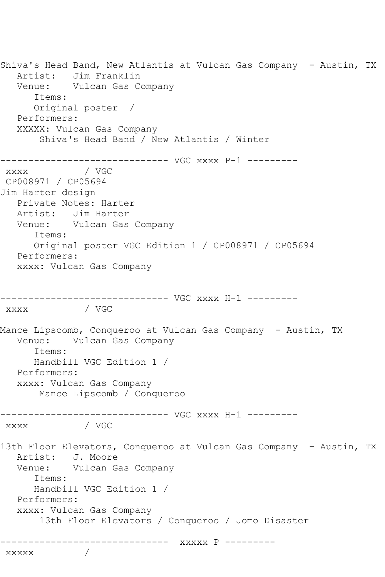Shiva's Head Band, New Atlantis at Vulcan Gas Company - Austin, TX Artist: Jim Franklin Venue: Vulcan Gas Company Items: Original poster / Performers: XXXXX: Vulcan Gas Company Shiva's Head Band / New Atlantis / Winter ------------------------------ VGC xxxx P-1 -------- xxxx / VGC CP008971 / CP05694 Jim Harter design Private Notes: Harter Artist: Jim Harter Venue: Vulcan Gas Company Items: Original poster VGC Edition 1 / CP008971 / CP05694 Performers: xxxx: Vulcan Gas Company ------------------------------ VGC xxxx H-1 -------- xxxx / VGC Mance Lipscomb, Conqueroo at Vulcan Gas Company - Austin, TX Venue: Vulcan Gas Company Items: Handbill VGC Edition 1 / Performers: xxxx: Vulcan Gas Company Mance Lipscomb / Conqueroo ------------------------------ VGC xxxx H-1 -------- xxxx / VGC 13th Floor Elevators, Conqueroo at Vulcan Gas Company - Austin, TX<br>Artist: J. Moore J. Moore Venue: Vulcan Gas Company Items: Handbill VGC Edition 1 / Performers: xxxx: Vulcan Gas Company 13th Floor Elevators / Conqueroo / Jomo Disaster ------------------------------ xxxxx P -------- xxxxx /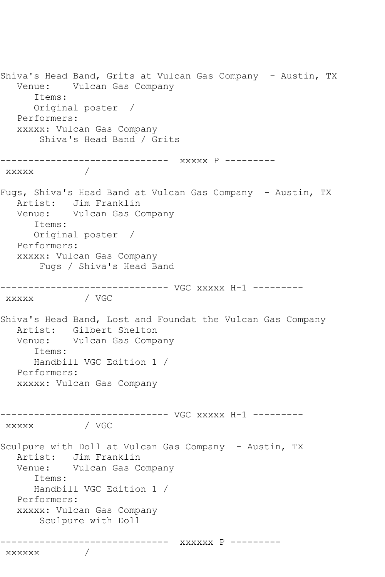Shiva's Head Band, Grits at Vulcan Gas Company - Austin, TX Venue: Vulcan Gas Company Items: Original poster / Performers: xxxxx: Vulcan Gas Company Shiva's Head Band / Grits ------------------------------ xxxxx P -------- xxxxx / Fugs, Shiva's Head Band at Vulcan Gas Company - Austin, TX Artist: Jim Franklin Venue: Vulcan Gas Company Items: Original poster / Performers: xxxxx: Vulcan Gas Company Fugs / Shiva's Head Band ------------------------------ VGC xxxxx H-1 -------- xxxxx / VGC Shiva's Head Band, Lost and Foundat the Vulcan Gas Company Artist: Gilbert Shelton Venue: Vulcan Gas Company Items: Handbill VGC Edition 1 / Performers: xxxxx: Vulcan Gas Company ------------------------------ VGC xxxxx H-1 ---------  $\overline{\text{XXXXX}}$ Sculpure with Doll at Vulcan Gas Company - Austin, TX Artist: Jim Franklin Venue: Vulcan Gas Company Items: Handbill VGC Edition 1 / Performers: xxxxx: Vulcan Gas Company Sculpure with Doll ------------------------------ xxxxxx P -------- xxxxxx /